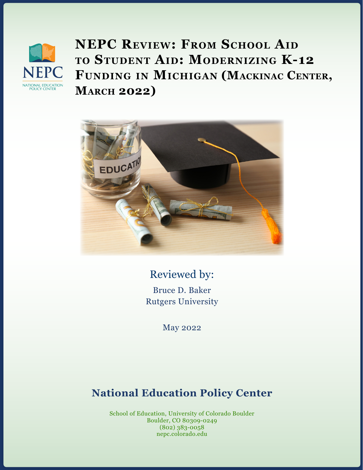

**NEPC Review: From School Aid to Student Aid: Modernizing K-12 Funding in Michigan (Mackinac Center, March 2022)**



Reviewed by: Bruce D. Baker Rutgers University

May 2022

# **National Education Policy Center**

School of Education, University of Colorado Boulder Boulder, CO 80309-0249 (802) 383-0058 nepc.colorado.edu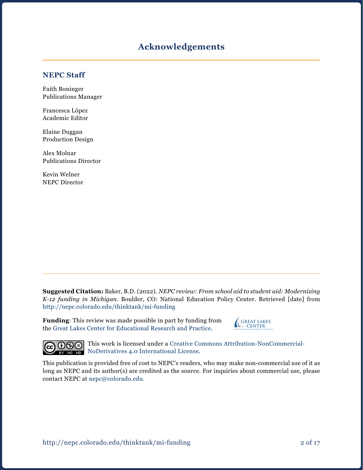### **Acknowledgements**

#### **NEPC Staff**

Faith Boninger Publications Manager

Francesca López Academic Editor

Elaine Duggan Production Design

Alex Molnar Publications Director

Kevin Welner NEPC Director

**Suggested Citation:** Baker, B.D. (2022). *NEPC review: From school aid to student aid: Modernizing K-12 funding in Michigan.* Boulder, CO: National Education Policy Center. Retrieved [date] from <http://nepc.colorado.edu/thinktank/mi-funding>

**Funding**: This review was made possible in part by funding from the [Great Lakes Center for Educational Research and Practice.](http://www.greatlakescenter.org)





**COOOO** This work is licensed under a [Creative Commons Attribution-NonCommercial-](https://creativecommons.org/licenses/by-nc-nd/4.0/)**EV NO** [NoDerivatives 4.0 International License](https://creativecommons.org/licenses/by-nc-nd/4.0/).

This publication is provided free of cost to NEPC's readers, who may make non-commercial use of it as long as NEPC and its author(s) are credited as the source. For inquiries about commercial use, please contact NEPC at [nepc@colorado.edu](mailto:nepc%40colorado.edu?subject=).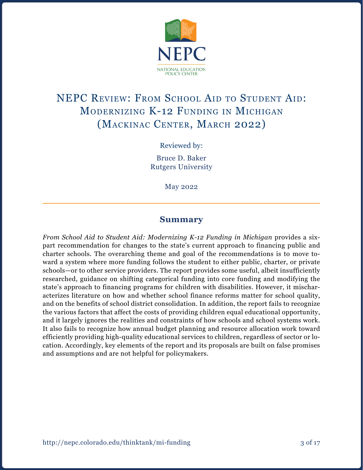

# NEPC REVIEW: FROM SCHOOL AID TO STUDENT AID: Modernizing K-12 Funding in Michigan (Mackinac Center, March 2022)

Reviewed by:

Bruce D. Baker Rutgers University

May 2022

### **Summary**

*From School Aid to Student Aid: Modernizing K-12 Funding in Michigan provides a six*part recommendation for changes to the state's current approach to financing public and charter schools. The overarching theme and goal of the recommendations is to move toward a system where more funding follows the student to either public, charter, or private schools—or to other service providers. The report provides some useful, albeit insufficiently researched, guidance on shifting categorical funding into core funding and modifying the state's approach to financing programs for children with disabilities. However, it mischaracterizes literature on how and whether school finance reforms matter for school quality, and on the benefits of school district consolidation. In addition, the report fails to recognize the various factors that affect the costs of providing children equal educational opportunity, and it largely ignores the realities and constraints of how schools and school systems work. It also fails to recognize how annual budget planning and resource allocation work toward efficiently providing high-quality educational services to children, regardless of sector or location. Accordingly, key elements of the report and its proposals are built on false promises and assumptions and are not helpful for policymakers.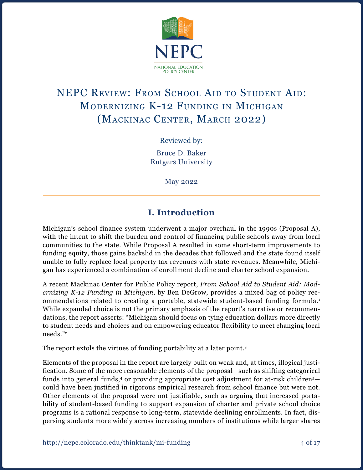

# NEPC REVIEW: FROM SCHOOL AID TO STUDENT AID: Modernizing K-12 Funding in Michigan (Mackinac Center, March 2022)

Reviewed by:

Bruce D. Baker Rutgers University

May 2022

# **I. Introduction**

Michigan's school finance system underwent a major overhaul in the 1990s (Proposal A), with the intent to shift the burden and control of financing public schools away from local communities to the state. While Proposal A resulted in some short-term improvements to funding equity, those gains backslid in the decades that followed and the state found itself unable to fully replace local property tax revenues with state revenues. Meanwhile, Michigan has experienced a combination of enrollment decline and charter school expansion.

A recent Mackinac Center for Public Policy report, *From School Aid to Student Aid: Modernizing K-12 Funding in Michigan*, by Ben DeGrow, provides a mixed bag of policy recommendations related to creating a portable, statewide student-based funding formula.1 While expanded choice is not the primary emphasis of the report's narrative or recommendations, the report asserts: "Michigan should focus on tying education dollars more directly to student needs and choices and on empowering educator flexibility to meet changing local needs."2

The report extols the virtues of funding portability at a later point.<sup>3</sup>

Elements of the proposal in the report are largely built on weak and, at times, illogical justification. Some of the more reasonable elements of the proposal—such as shifting categorical funds into general funds,<sup>4</sup> or providing appropriate cost adjustment for at-risk children<sup>5</sup> could have been justified in rigorous empirical research from school finance but were not. Other elements of the proposal were not justifiable, such as arguing that increased portability of student-based funding to support expansion of charter and private school choice programs is a rational response to long-term, statewide declining enrollments. In fact, dispersing students more widely across increasing numbers of institutions while larger shares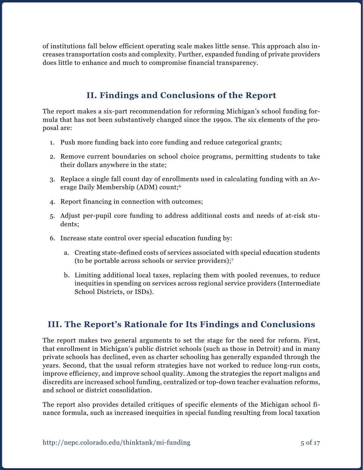of institutions fall below efficient operating scale makes little sense. This approach also increases transportation costs and complexity. Further, expanded funding of private providers does little to enhance and much to compromise financial transparency.

# **II. Findings and Conclusions of the Report**

The report makes a six-part recommendation for reforming Michigan's school funding formula that has not been substantively changed since the 1990s. The six elements of the proposal are:

- 1. Push more funding back into core funding and reduce categorical grants;
- 2. Remove current boundaries on school choice programs, permitting students to take their dollars anywhere in the state;
- 3. Replace a single fall count day of enrollments used in calculating funding with an Average Daily Membership (ADM) count;6
- 4. Report financing in connection with outcomes;
- 5. Adjust per-pupil core funding to address additional costs and needs of at-risk students;
- 6. Increase state control over special education funding by:
	- a. Creating state-defined costs of services associated with special education students (to be portable across schools or service providers);7
	- b. Limiting additional local taxes, replacing them with pooled revenues, to reduce inequities in spending on services across regional service providers (Intermediate School Districts, or ISDs).

# **III. The Report's Rationale for Its Findings and Conclusions**

The report makes two general arguments to set the stage for the need for reform. First, that enrollment in Michigan's public district schools (such as those in Detroit) and in many private schools has declined, even as charter schooling has generally expanded through the years. Second, that the usual reform strategies have not worked to reduce long-run costs, improve efficiency, and improve school quality. Among the strategies the report maligns and discredits are increased school funding, centralized or top-down teacher evaluation reforms, and school or district consolidation.

The report also provides detailed critiques of specific elements of the Michigan school finance formula, such as increased inequities in special funding resulting from local taxation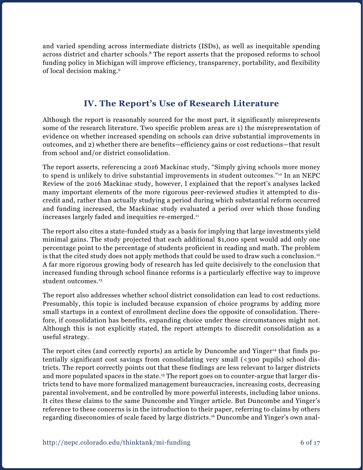and varied spending across intermediate districts (ISDs), as well as inequitable spending across district and charter schools.<sup>8</sup> The report asserts that the proposed reforms to school funding policy in Michigan will improve efficiency, transparency, portability, and flexibility of local decision making.9

## **IV. The Report's Use of Research Literature**

Although the report is reasonably sourced for the most part, it significantly misrepresents some of the research literature. Two specific problem areas are 1) the misrepresentation of evidence on whether increased spending on schools can drive substantial improvements in outcomes, and 2) whether there are benefits—efficiency gains or cost reductions—that result from school and/or district consolidation.

The report asserts, referencing a 2016 Mackinac study, "Simply giving schools more money to spend is unlikely to drive substantial improvements in student outcomes."10 In an NEPC Review of the 2016 Mackinac study, however, I explained that the report's analyses lacked many important elements of the more rigorous peer-reviewed studies it attempted to discredit and, rather than actually studying a period during which substantial reform occurred and funding increased, the Mackinac study evaluated a period over which those funding increases largely faded and inequities re-emerged.<sup>11</sup>

The report also cites a state-funded study as a basis for implying that large investments yield minimal gains. The study projected that each additional \$1,000 spent would add only one percentage point to the percentage of students proficient in reading and math. The problem is that the cited study does not apply methods that could be used to draw such a conclusion.<sup>12</sup> A far more rigorous growing body of research has led quite decisively to the conclusion that increased funding through school finance reforms is a particularly effective way to improve student outcomes.<sup>13</sup>

The report also addresses whether school district consolidation can lead to cost reductions. Presumably, this topic is included because expansion of choice programs by adding more small startups in a context of enrollment decline does the opposite of consolidation. Therefore, if consolidation has benefits, expanding choice under these circumstances might not. Although this is not explicitly stated, the report attempts to discredit consolidation as a useful strategy.

The report cites (and correctly reports) an article by Duncombe and Yinger<sup>14</sup> that finds potentially significant cost savings from consolidating very small (<300 pupils) school districts. The report correctly points out that these findings are less relevant to larger districts and more populated spaces in the state.<sup>15</sup> The report goes on to counter-argue that larger districts tend to have more formalized management bureaucracies, increasing costs, decreasing parental involvement, and be controlled by more powerful interests, including labor unions. It cites these claims to the same Duncombe and Yinger article. But Duncombe and Yinger's reference to these concerns is in the introduction to their paper, referring to claims by others regarding diseconomies of scale faced by large districts.16 Duncombe and Yinger's own anal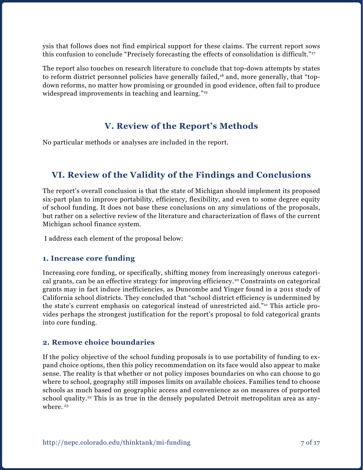ysis that follows does not find empirical support for these claims. The current report sows this confusion to conclude "Precisely forecasting the effects of consolidation is difficult."17

The report also touches on research literature to conclude that top-down attempts by states to reform district personnel policies have generally failed,<sup>18</sup> and, more generally, that "topdown reforms, no matter how promising or grounded in good evidence, often fail to produce widespread improvements in teaching and learning."19

## **V. Review of the Report's Methods**

No particular methods or analyses are included in the report.

## **VI. Review of the Validity of the Findings and Conclusions**

The report's overall conclusion is that the state of Michigan should implement its proposed six-part plan to improve portability, efficiency, flexibility, and even to some degree equity of school funding. It does not base these conclusions on any simulations of the proposals, but rather on a selective review of the literature and characterization of flaws of the current Michigan school finance system.

I address each element of the proposal below:

#### **1. Increase core funding**

Increasing core funding, or specifically, shifting money from increasingly onerous categorical grants, can be an effective strategy for improving efficiency.20 Constraints on categorical grants may in fact induce inefficiencies, as Duncombe and Yinger found in a 2011 study of California school districts. They concluded that "school district efficiency is undermined by the state's current emphasis on categorical instead of unrestricted aid."21 This article provides perhaps the strongest justification for the report's proposal to fold categorical grants into core funding.

#### **2. Remove choice boundaries**

If the policy objective of the school funding proposals is to use portability of funding to expand choice options, then this policy recommendation on its face would also appear to make sense. The reality is that whether or not policy imposes boundaries on who can choose to go where to school, geography still imposes limits on available choices. Families tend to choose schools as much based on geographic access and convenience as on measures of purported school quality.<sup>22</sup> This is as true in the densely populated Detroit metropolitan area as anywhere.<sup>23</sup>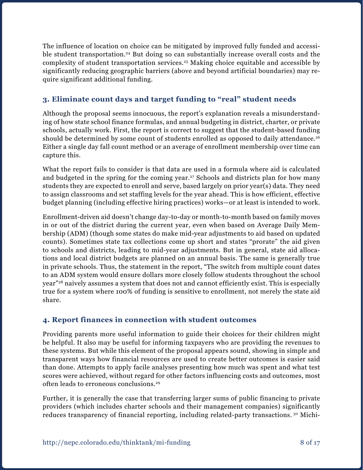The influence of location on choice can be mitigated by improved fully funded and accessible student transportation.<sup>24</sup> But doing so can substantially increase overall costs and the complexity of student transportation services.25 Making choice equitable and accessible by significantly reducing geographic barriers (above and beyond artificial boundaries) may require significant additional funding.

### **3. Eliminate count days and target funding to "real" student needs**

Although the proposal seems innocuous, the report's explanation reveals a misunderstanding of how state school finance formulas, and annual budgeting in district, charter, or private schools, actually work. First, the report is correct to suggest that the student-based funding should be determined by some count of students enrolled as opposed to daily attendance.<sup>26</sup> Either a single day fall count method or an average of enrollment membership over time can capture this.

What the report fails to consider is that data are used in a formula where aid is calculated and budgeted in the spring for the coming year.<sup>27</sup> Schools and districts plan for how many students they are expected to enroll and serve, based largely on prior year(s) data. They need to assign classrooms and set staffing levels for the year ahead. This is how efficient, effective budget planning (including effective hiring practices) works—or at least is intended to work.

Enrollment-driven aid doesn't change day-to-day or month-to-month based on family moves in or out of the district during the current year, even when based on Average Daily Membership (ADM) (though some states do make mid-year adjustments to aid based on updated counts). Sometimes state tax collections come up short and states "prorate" the aid given to schools and districts, leading to mid-year adjustments. But in general, state aid allocations and local district budgets are planned on an annual basis. The same is generally true in private schools. Thus, the statement in the report, "The switch from multiple count dates to an ADM system would ensure dollars more closely follow students throughout the school year"28 naively assumes a system that does not and cannot efficiently exist. This is especially true for a system where 100% of funding is sensitive to enrollment, not merely the state aid share.

### **4. Report finances in connection with student outcomes**

Providing parents more useful information to guide their choices for their children might be helpful. It also may be useful for informing taxpayers who are providing the revenues to these systems. But while this element of the proposal appears sound, showing in simple and transparent ways how financial resources are used to create better outcomes is easier said than done. Attempts to apply facile analyses presenting how much was spent and what test scores were achieved, without regard for other factors influencing costs and outcomes, most often leads to erroneous conclusions.29

Further, it is generally the case that transferring larger sums of public financing to private providers (which includes charter schools and their management companies) significantly reduces transparency of financial reporting, including related-party transactions.<sup>30</sup> Michi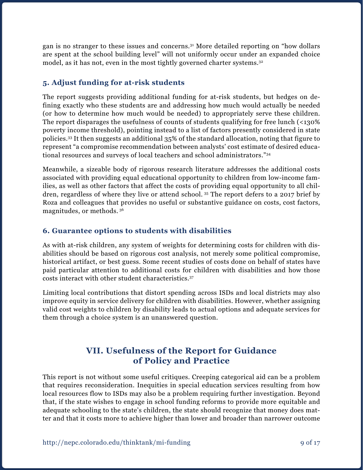gan is no stranger to these issues and concerns.31 More detailed reporting on "how dollars are spent at the school building level" will not uniformly occur under an expanded choice model, as it has not, even in the most tightly governed charter systems.<sup>32</sup>

### **5. Adjust funding for at-risk students**

The report suggests providing additional funding for at-risk students, but hedges on defining exactly who these students are and addressing how much would actually be needed (or how to determine how much would be needed) to appropriately serve these children. The report disparages the usefulness of counts of students qualifying for free lunch (<130% poverty income threshold), pointing instead to a list of factors presently considered in state policies.33 It then suggests an additional 35% of the standard allocation, noting that figure to represent "a compromise recommendation between analysts' cost estimate of desired educational resources and surveys of local teachers and school administrators."34

Meanwhile, a sizeable body of rigorous research literature addresses the additional costs associated with providing equal educational opportunity to children from low-income families, as well as other factors that affect the costs of providing equal opportunity to all children, regardless of where they live or attend school. 35 The report defers to a 2017 brief by Roza and colleagues that provides no useful or substantive guidance on costs, cost factors, magnitudes, or methods. 36

### **6. Guarantee options to students with disabilities**

As with at-risk children, any system of weights for determining costs for children with disabilities should be based on rigorous cost analysis, not merely some political compromise, historical artifact, or best guess. Some recent studies of costs done on behalf of states have paid particular attention to additional costs for children with disabilities and how those costs interact with other student characteristics.37

Limiting local contributions that distort spending across ISDs and local districts may also improve equity in service delivery for children with disabilities. However, whether assigning valid cost weights to children by disability leads to actual options and adequate services for them through a choice system is an unanswered question.

### **VII. Usefulness of the Report for Guidance of Policy and Practice**

This report is not without some useful critiques. Creeping categorical aid can be a problem that requires reconsideration. Inequities in special education services resulting from how local resources flow to ISDs may also be a problem requiring further investigation. Beyond that, if the state wishes to engage in school funding reforms to provide more equitable and adequate schooling to the state's children, the state should recognize that money does matter and that it costs more to achieve higher than lower and broader than narrower outcome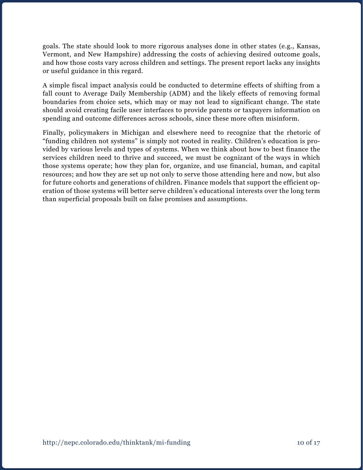goals. The state should look to more rigorous analyses done in other states (e.g., Kansas, Vermont, and New Hampshire) addressing the costs of achieving desired outcome goals, and how those costs vary across children and settings. The present report lacks any insights or useful guidance in this regard.

A simple fiscal impact analysis could be conducted to determine effects of shifting from a fall count to Average Daily Membership (ADM) and the likely effects of removing formal boundaries from choice sets, which may or may not lead to significant change. The state should avoid creating facile user interfaces to provide parents or taxpayers information on spending and outcome differences across schools, since these more often misinform.

Finally, policymakers in Michigan and elsewhere need to recognize that the rhetoric of "funding children not systems" is simply not rooted in reality. Children's education is provided by various levels and types of systems. When we think about how to best finance the services children need to thrive and succeed, we must be cognizant of the ways in which those systems operate; how they plan for, organize, and use financial, human, and capital resources; and how they are set up not only to serve those attending here and now, but also for future cohorts and generations of children. Finance models that support the efficient operation of those systems will better serve children's educational interests over the long term than superficial proposals built on false promises and assumptions.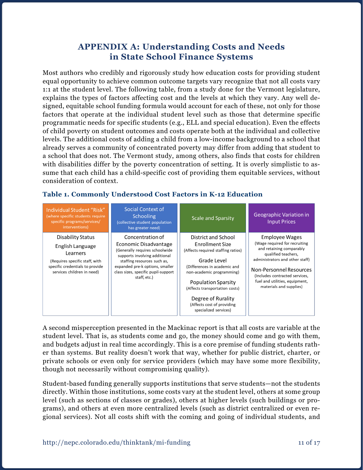### **APPENDIX A: Understanding Costs and Needs in State School Finance Systems**

Most authors who credibly and rigorously study how education costs for providing student equal opportunity to achieve common outcome targets vary recognize that not all costs vary 1:1 at the student level. The following table, from a study done for the Vermont legislature, explains the types of factors affecting cost and the levels at which they vary. Any well designed, equitable school funding formula would account for each of these, not only for those factors that operate at the individual student level such as those that determine specific programmatic needs for specific students (e.g., ELL and special education). Even the effects of child poverty on student outcomes and costs operate both at the individual and collective levels. The additional costs of adding a child from a low-income background to a school that already serves a community of concentrated poverty may differ from adding that student to a school that does not. The Vermont study, among others, also finds that costs for children with disabilities differ by the poverty concentration of setting. It is overly simplistic to assume that each child has a child-specific cost of providing them equitable services, without consideration of context.

#### **Table 1. Commonly Understood Cost Factors in K-12 Education**

| Individual Student "Risk"<br>(where specific students require<br>specific programs/services/<br>interventions)                                       | Social Context of<br><b>Schooling</b><br>(collective student population<br>has greater need)                                                                                                                                          | <b>Scale and Sparsity</b>                                                                                                                                                                                                                                                                             | <b>Geographic Variation in</b><br><b>Input Prices</b>                                                                                                                                                                                                           |
|------------------------------------------------------------------------------------------------------------------------------------------------------|---------------------------------------------------------------------------------------------------------------------------------------------------------------------------------------------------------------------------------------|-------------------------------------------------------------------------------------------------------------------------------------------------------------------------------------------------------------------------------------------------------------------------------------------------------|-----------------------------------------------------------------------------------------------------------------------------------------------------------------------------------------------------------------------------------------------------------------|
| Disability Status<br>English Language<br>Learners<br>(Requires specific staff, with<br>specific credentials to provide<br>services children in need) | Concentration of<br>Economic Disadvantage<br>(Generally requires schoolwide<br>supports involving additional<br>staffing resources such as,<br>expanded pre-k options, smaller<br>class sizes, specific pupil-support<br>staff, etc.) | District and School<br>Enrollment Size<br>(Affects required staffing ratios)<br>Grade Level<br>(Differences in academic and<br>non-academic programming)<br><b>Population Sparsity</b><br>(Affects transportation costs)<br>Degree of Rurality<br>(Affects cost of providing<br>specialized services) | Employee Wages<br>(Wage required for recruiting<br>and retaining comparably<br>qualified teachers,<br>administrators and other staff)<br>Non-Personnel Resources<br>(Includes contracted services,<br>fuel and utilities, equipment,<br>materials and supplies) |

A second misperception presented in the Mackinac report is that all costs are variable at the student level. That is, as students come and go, the money should come and go with them, and budgets adjust in real time accordingly. This is a core premise of funding students rather than systems. But reality doesn't work that way, whether for public district, charter, or private schools or even only for service providers (which may have some more flexibility, though not necessarily without compromising quality).

Student-based funding generally supports institutions that serve students—not the students directly. Within those institutions, some costs vary at the student level, others at some group level (such as sections of classes or grades), others at higher levels (such buildings or programs), and others at even more centralized levels (such as district centralized or even regional services). Not all costs shift with the coming and going of individual students, and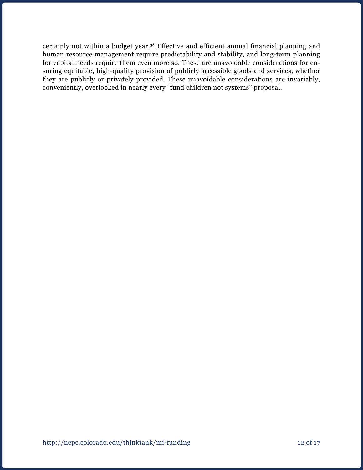certainly not within a budget year.38 Effective and efficient annual financial planning and human resource management require predictability and stability, and long-term planning for capital needs require them even more so. These are unavoidable considerations for ensuring equitable, high-quality provision of publicly accessible goods and services, whether they are publicly or privately provided. These unavoidable considerations are invariably, conveniently, overlooked in nearly every "fund children not systems" proposal.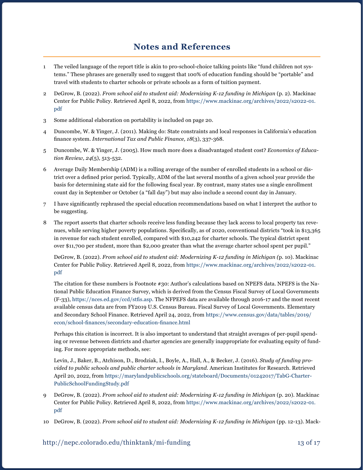### **Notes and References**

- 1 The veiled language of the report title is akin to pro-school-choice talking points like "fund children not systems." These phrases are generally used to suggest that 100% of education funding should be "portable" and travel with students to charter schools or private schools as a form of tuition payment.
- 2 DeGrow, B. (2022). *From school aid to student aid: Modernizing K-12 funding in Michigan* (p. 2). Mackinac Center for Public Policy. Retrieved April 8, 2022, from [https://www.mackinac.org/archives/2022/s2022-01.](https://www.mackinac.org/archives/2022/s2022-01.pdf) [pdf](https://www.mackinac.org/archives/2022/s2022-01.pdf)
- 3 Some additional elaboration on portability is included on page 20.
- 4 Duncombe, W. & Yinger, J. (2011). Making do: State constraints and local responses in California's education finance system. *International Tax and Public Finance, 18*(3), 337-368.
- 5 Duncombe, W. & Yinger, J. (2005). How much more does a disadvantaged student cost? *Economics of Education Review, 24*(5), 513-532.
- 6 Average Daily Membership (ADM) is a rolling average of the number of enrolled students in a school or district over a defined prior period. Typically, ADM of the last several months of a given school year provide the basis for determining state aid for the following fiscal year. By contrast, many states use a single enrollment count day in September or October (a "fall day") but may also include a second count day in January.
- 7 I have significantly rephrased the special education recommendations based on what I interpret the author to be suggesting.
- 8 The report asserts that charter schools receive less funding because they lack access to local property tax revenues, while serving higher poverty populations. Specifically, as of 2020, conventional districts "took in \$13,365 in revenue for each student enrolled, compared with \$10,242 for charter schools. The typical district spent over \$11,700 per student, more than \$2,000 greater than what the average charter school spent per pupil."

DeGrow, B. (2022). *From school aid to student aid: Modernizing K-12 funding in Michigan (*p. 10). Mackinac Center for Public Policy. Retrieved April 8, 2022, from [https://www.mackinac.org/archives/2022/s2022-01.](https://www.mackinac.org/archives/2022/s2022-01.pdf) [pdf](https://www.mackinac.org/archives/2022/s2022-01.pdf)

The citation for these numbers is Footnote #30: Author's calculations based on NPEFS data. NPEFS is the National Public Education Finance Survey, which is derived from the Census Fiscal Survey of Local Governments (F-33), [https://nces.ed.gov/ccd/stfis.asp.](https://nces.ed.gov/ccd/stfis.asp) The NFPEFS data are available through 2016-17 and the most recent available census data are from FY2019 U.S. Census Bureau. Fiscal Survey of Local Governments. Elementary and Secondary School Finance. Retrieved April 24, 2022, from [https://www.census.gov/data/tables/2019/](https://www.census.gov/data/tables/2019/econ/school-finances/secondary-education-finance.html) [econ/school-finances/secondary-education-finance.html](https://www.census.gov/data/tables/2019/econ/school-finances/secondary-education-finance.html)

Perhaps this citation is incorrect. It is also important to understand that straight averages of per-pupil spending or revenue between districts and charter agencies are generally inappropriate for evaluating equity of funding. For more appropriate methods, see:

Levin, J., Baker, B., Atchison, D., Brodziak, I., Boyle, A., Hall, A., & Becker, J. (2016). *Study of funding provided to public schools and public charter schools in Maryland*. American Institutes for Research. Retrieved April 20, 2022, from [https://marylandpublicschools.org/stateboard/Documents/01242017/TabG-Charter-](https://marylandpublicschools.org/stateboard/Documents/01242017/TabG-CharterPublicSchoolFundingStudy.pdf)[PublicSchoolFundingStudy.pdf](https://marylandpublicschools.org/stateboard/Documents/01242017/TabG-CharterPublicSchoolFundingStudy.pdf)

- 9 DeGrow, B. (2022). *From school aid to student aid: Modernizing K-12 funding in Michigan* (p. 20). Mackinac Center for Public Policy. Retrieved April 8, 2022, from [https://www.mackinac.org/archives/2022/s2022-01.](https://www.mackinac.org/archives/2022/s2022-01.pdf) [pdf](https://www.mackinac.org/archives/2022/s2022-01.pdf)
- 10 DeGrow, B. (2022). *From school aid to student aid: Modernizing K-12 funding in Michigan* (pp. 12-13). Mack-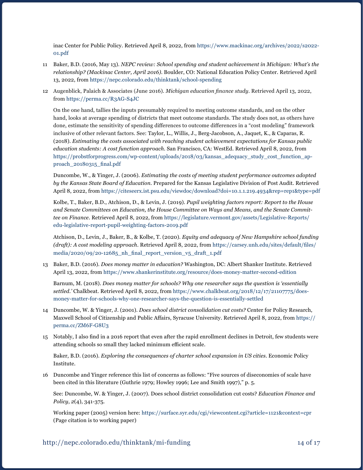inac Center for Public Policy. Retrieved April 8, 2022, from [https://www.mackinac.org/archives/2022/s2022-](https://www.mackinac.org/archives/2022/s2022-01.pdf) [01.pdf](https://www.mackinac.org/archives/2022/s2022-01.pdf)

- 11 Baker, B.D. (2016, May 13). *NEPC review: School spending and student achievement in Michigan: What's the relationship? (Mackinac Center, April 2016)*. Boulder, CO: National Education Policy Center. Retrieved April 13, 2022, from <https://nepc.colorado.edu/thinktank/school-spending>
- 12 Augenblick, Palaich & Associates (June 2016). *Michigan education finance study*. Retrieved April 13, 2022, from <https://perma.cc/R3AG-S4JC>

On the one hand, tallies the inputs presumably required to meeting outcome standards, and on the other hand, looks at average spending of districts that meet outcome standards. The study does not, as others have done, estimate the sensitivity of spending differences to outcome differences in a "cost modeling" framework inclusive of other relevant factors. See: Taylor, L., Willis, J., Berg-Jacobson, A., Jaquet, K., & Caparas, R. (2018). *Estimating the costs associated with reaching student achievement expectations for Kansas public education students: A cost function approach*. San Francisco, CA: WestEd. Retrieved April 8, 2022, from [https://probstforprogress.com/wp-content/uploads/2018/03/kansas\\_adequacy\\_study\\_cost\\_function\\_ap](https://probstforprogress.com/wp-content/uploads/2018/03/kansas_adequacy_study_cost_function_approach_20180315_final.pdf)[proach\\_20180315\\_final.pdf](https://probstforprogress.com/wp-content/uploads/2018/03/kansas_adequacy_study_cost_function_approach_20180315_final.pdf)

Duncombe, W., & Yinger, J. (2006). *Estimating the costs of meeting student performance outcomes adopted by the Kansas State Board of Education*. Prepared for the Kansas Legislative Division of Post Audit. Retrieved April 8, 2022, from <https://citeseerx.ist.psu.edu/viewdoc/download?doi=10.1.1.219.4934&rep=rep1&type=pdf>

Kolbe, T., Baker, B.D., Atchison, D., & Levin, J. (2019). *Pupil weighting factors report: Report to the House and Senate Committees on Education, the House Committee on Ways and Means, and the Senate Committee on Finance*. Retrieved April 8, 2022, from [https://legislature.vermont.gov/assets/Legislative-Reports/](https://legislature.vermont.gov/assets/Legislative-Reports/edu-legislative-report-pupil-weighting-factors-2019.pdf) [edu-legislative-report-pupil-weighting-factors-2019.pdf](https://legislature.vermont.gov/assets/Legislative-Reports/edu-legislative-report-pupil-weighting-factors-2019.pdf)

Atchison, D., Levin, J., Baker, B., & Kolbe, T. (2020). *Equity and adequacy of New Hampshire school funding (draft): A cost modeling approach*. Retrieved April 8, 2022, from [https://carsey.unh.edu/sites/default/files/](https://carsey.unh.edu/sites/default/files/media/2020/09/20-12685_nh_final_report_version_v5_draft_1.pdf) media/2020/09/20-12685 nh final report version  $v_5$  draft 1.pdf

13 Baker, B.D. (2016). *Does money matter in education?* Washington, DC: Albert Shanker Institute. Retrieved April 13, 2022, from <https://www.shankerinstitute.org/resource/does-money-matter-second-edition>

Barnum, M. (2018). *Does money matter for schools? Why one researcher says the question is 'essentially settled.'* Chalkbeat. Retrieved April 8, 2022, from [https://www.chalkbeat.org/2018/12/17/21107775/does](https://www.chalkbeat.org/2018/12/17/21107775/does-money-matter-for-schools-why-one-researcher-says-the-question-is-essentially-settled )[money-matter-for-schools-why-one-researcher-says-the-question-is-essentially-settled](https://www.chalkbeat.org/2018/12/17/21107775/does-money-matter-for-schools-why-one-researcher-says-the-question-is-essentially-settled )

- 14 Duncombe, W. & Yinger, J. (2001). *Does school district consolidation cut costs?* Center for Policy Research, Maxwell School of Citizenship and Public Affairs, Syracuse University. Retrieved April 8, 2022, from [https://](https://perma.cc/ZM6F-G8U3) [perma.cc/ZM6F-G8U3](https://perma.cc/ZM6F-G8U3)
- 15 Notably, I also find in a 2016 report that even after the rapid enrollment declines in Detroit, few students were attending schools so small they lacked minimum efficient scale.

Baker, B.D. (2016). *Exploring the consequences of charter school expansion in US cities*. Economic Policy Institute.

16 Duncombe and Yinger reference this list of concerns as follows: "Five sources of diseconomies of scale have been cited in this literature (Guthrie 1979; Howley 1996; Lee and Smith 1997)," p. 5.

See: Duncombe, W. & Yinger, J. (2007). Does school district consolidation cut costs? *Education Finance and Policy*, *2*(4), 341-375.

Working paper (2005) version here: <https://surface.syr.edu/cgi/viewcontent.cgi?article=1121&context=cpr> (Page citation is to working paper)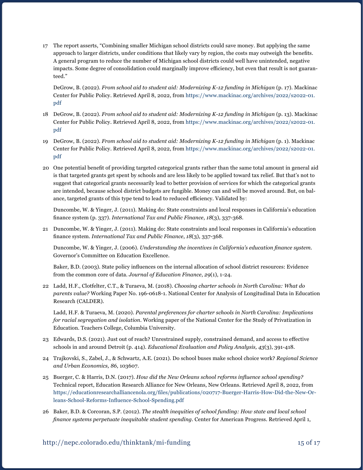17 The report asserts, "Combining smaller Michigan school districts could save money. But applying the same approach to larger districts, under conditions that likely vary by region, the costs may outweigh the benefits. A general program to reduce the number of Michigan school districts could well have unintended, negative impacts. Some degree of consolidation could marginally improve efficiency, but even that result is not guaranteed."

DeGrow, B. (2022). *From school aid to student aid: Modernizing K-12 funding in Michigan* (p. 17). Mackinac Center for Public Policy. Retrieved April 8, 2022, from [https://www.mackinac.org/archives/2022/s2022-01.](https://www.mackinac.org/archives/2022/s2022-01.pdf) [pdf](https://www.mackinac.org/archives/2022/s2022-01.pdf)

- 18 DeGrow, B. (2022). *From school aid to student aid: Modernizing K-12 funding in Michigan* (p. 13). Mackinac Center for Public Policy. Retrieved April 8, 2022, from [https://www.mackinac.org/archives/2022/s2022-01.](https://www.mackinac.org/archives/2022/s2022-01.pdf) [pdf](https://www.mackinac.org/archives/2022/s2022-01.pdf)
- 19 DeGrow, B. (2022). *From school aid to student aid: Modernizing K-12 funding in Michigan* (p. 1). Mackinac Center for Public Policy. Retrieved April 8, 2022, from [https://www.mackinac.org/archives/2022/s2022-01.](https://www.mackinac.org/archives/2022/s2022-01.pdf) [pdf](https://www.mackinac.org/archives/2022/s2022-01.pdf)
- 20 One potential benefit of providing targeted categorical grants rather than the same total amount in general aid is that targeted grants get spent by schools and are less likely to be applied toward tax relief. But that's not to suggest that categorical grants necessarily lead to better provision of services for which the categorical grants are intended, because school district budgets are fungible. Money can and will be moved around. But, on balance, targeted grants of this type tend to lead to reduced efficiency. Validated by:

Duncombe, W. & Yinger, J. (2011). Making do: State constraints and local responses in California's education finance system (p. 337). *International Tax and Public Finance*, *18*(3), 337-368.

21 Duncombe, W. & Yinger, J. (2011). Making do: State constraints and local responses in California's education finance system. *International Tax and Public Finance*, *18*(3), 337-368.

Duncombe, W. & Yinger, J. (2006). *Understanding the incentives in California's education finance system*. Governor's Committee on Education Excellence.

Baker, B.D. (2003). State policy influences on the internal allocation of school district resources: Evidence from the common core of data. *Journal of Education Finance*, *29*(1), 1-24.

22 Ladd, H.F., Clotfelter, C.T., & Turaeva, M. (2018). *Choosing charter schools in North Carolina: What do parents value?* Working Paper No. 196-0618-1. National Center for Analysis of Longitudinal Data in Education Research (CALDER).

Ladd, H.F. & Turaeva, M. (2020). *Parental preferences for charter schools in North Carolina: Implications for racial segregation and isolation*. Working paper of the National Center for the Study of Privatization in Education. Teachers College, Columbia University.

- 23 Edwards, D.S. (2021). Just out of reach? Unrestrained supply, constrained demand, and access to effective schools in and around Detroit (p. 414). *Educational Evaluation and Policy Analysis, 43*(3), 391-418.
- 24 Trajkovski, S., Zabel, J., & Schwartz, A.E. (2021). Do school buses make school choice work? *Regional Science and Urban Economics, 86*, 103607.
- 25 Buerger, C. & Harris, D.N. (2017). *How did the New Orleans school reforms influence school spending?* Technical report, Education Research Alliance for New Orleans, New Orleans. Retrieved April 8, 2022, from [https://educationresearchalliancenola.org/files/publications/020717-Buerger-Harris-How-Did-the-New-Or](https://educationresearchalliancenola.org/files/publications/020717-Buerger-Harris-How-Did-the-New-Orleans-School-Reforms-Influence-School-Spending.pdf)[leans-School-Reforms-Influence-School-Spending.pdf](https://educationresearchalliancenola.org/files/publications/020717-Buerger-Harris-How-Did-the-New-Orleans-School-Reforms-Influence-School-Spending.pdf)
- 26 Baker, B.D. & Corcoran, S.P. (2012). *The stealth inequities of school funding: How state and local school finance systems perpetuate inequitable student spending*. Center for American Progress. Retrieved April 1,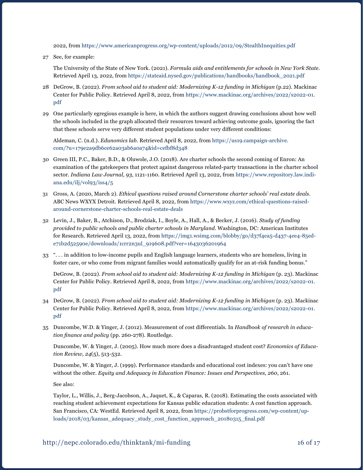2022, from <https://www.americanprogress.org/wp-content/uploads/2012/09/StealthInequities.pdf>

27 See, for example:

The University of the State of New York. (2021). *Formula aids and entitlements for schools in New York State*. Retrieved April 13, 2022, from [https://stateaid.nysed.gov/publications/handbooks/handbook\\_2021.pdf](https://stateaid.nysed.gov/publications/handbooks/handbook_2021.pdf)

- 28 DeGrow, B. (2022). *From school aid to student aid: Modernizing K-12 funding in Michigan* (p.22). Mackinac Center for Public Policy. Retrieved April 8, 2022, from [https://www.mackinac.org/archives/2022/s2022-01.](https://www.mackinac.org/archives/2022/s2022-01.pdf) [pdf](https://www.mackinac.org/archives/2022/s2022-01.pdf)
- 29 One particularly egregious example is here, in which the authors suggest drawing conclusions about how well the schools included in the graph allocated their resources toward achieving outcome goals, ignoring the fact that these schools serve very different student populations under very different conditions:

Aldeman, C. (n.d.). *Edunomics lab*. Retrieved April 8, 2022, from [https://us19.campaign-archive.](https://us19.campaign-archive.com/?u=179e2a9db6ce62a03ab6a0a74&id=cefbf8d348) [com/?u=179e2a9db6ce62a03ab6a0a74&id=cefbf8d348](https://us19.campaign-archive.com/?u=179e2a9db6ce62a03ab6a0a74&id=cefbf8d348)

- 30 Green III, P.C., Baker, B.D., & Oluwole, J.O. (2018). Are charter schools the second coming of Enron: An examination of the gatekeepers that protect against dangerous related-party transactions in the charter school sector. *Indiana Law Journal, 93*, 1121-1160. Retrieved April 13, 2022, from [https://www.repository.law.indi](https://www.repository.law.indiana.edu/ilj/vol93/iss4/5)[ana.edu/ilj/vol93/iss4/5](https://www.repository.law.indiana.edu/ilj/vol93/iss4/5)
- 31 Gross, A. (2020, March 2). *Ethical questions raised around Cornerstone charter schools' real estate deals*. ABC News WXYX Detroit. Retrieved April 8, 2022, from [https://www.wxyz.com/ethical-questions-raised](https://www.wxyz.com/ethical-questions-raised-around-cornerstone-charter-schools-real-estate-deals)[around-cornerstone-charter-schools-real-estate-deals](https://www.wxyz.com/ethical-questions-raised-around-cornerstone-charter-schools-real-estate-deals)
- 32 Levin, J., Baker, B., Atchison, D., Brodziak, I., Boyle, A., Hall, A., & Becker, J. (2016). *Study of funding provided to public schools and public charter schools in Maryland*. Washington, DC: American Institutes for Research. Retrieved April 13, 2022, from [https://img1.wsimg.com/blobby/go/d37f4ea5-d437-4ee4-85ed](https://img1.wsimg.com/blobby/go/d37f4ea5-d437-4ee4-85ed-e71b2d52590e/downloads/1crr2n3ul_919608.pdf?ver=1643036201964)[e71b2d52590e/downloads/1crr2n3ul\\_919608.pdf?ver=1643036201964](https://img1.wsimg.com/blobby/go/d37f4ea5-d437-4ee4-85ed-e71b2d52590e/downloads/1crr2n3ul_919608.pdf?ver=1643036201964)
- 33 ". . . in addition to low-income pupils and English language learners, students who are homeless, living in foster care, or who come from migrant families would automatically qualify for an at-risk funding bonus."

DeGrow, B. (2022). *From school aid to student aid: Modernizing K-12 funding in Michigan* (p. 23). Mackinac Center for Public Policy. Retrieved April 8, 2022, from [https://www.mackinac.org/archives/2022/s2022-01.](https://www.mackinac.org/archives/2022/s2022-01.pdf) [pdf](https://www.mackinac.org/archives/2022/s2022-01.pdf)

- 34 DeGrow, B. (2022). *From school aid to student aid: Modernizing K-12 funding in Michigan* (p. 23). Mackinac Center for Public Policy. Retrieved April 8, 2022, from [https://www.mackinac.org/archives/2022/s2022-01.](https://www.mackinac.org/archives/2022/s2022-01.pdf) [pdf](https://www.mackinac.org/archives/2022/s2022-01.pdf)
- 35 Duncombe, W.D. & Yinger, J. (2012). Measurement of cost differentials. In *Handbook of research in education finance and policy* (pp. 260-278). Routledge.

Duncombe, W. & Yinger, J. (2005). How much more does a disadvantaged student cost? *Economics of Education Review, 24*(5), 513-532.

Duncombe, W. & Yinger, J. (1999). Performance standards and educational cost indexes: you can't have one without the other. *Equity and Adequacy in Education Finance: Issues and Perspectives, 260*, 261.

See also:

Taylor, L., Willis, J., Berg-Jacobson, A., Jaquet, K., & Caparas, R. (2018). Estimating the costs associated with reaching student achievement expectations for Kansas public education students: A cost function approach. San Francisco, CA: WestEd. Retrieved April 8, 2022, from [https://probstforprogress.com/wp-content/up](https://probstforprogress.com/wp-content/uploads/2018/03/kansas_adequacy_study_cost_function_approach_20180315_final.pdf )[loads/2018/03/kansas\\_adequacy\\_study\\_cost\\_function\\_approach\\_20180315\\_final.pdf](https://probstforprogress.com/wp-content/uploads/2018/03/kansas_adequacy_study_cost_function_approach_20180315_final.pdf )